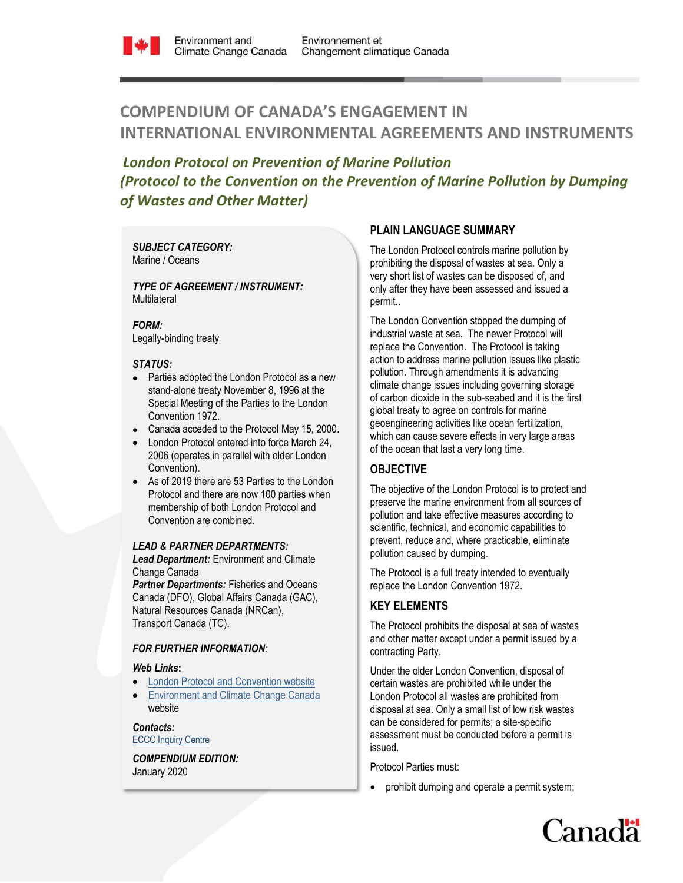

# **COMPENDIUM OF CANADA'S ENGAGEMENT IN INTERNATIONAL ENVIRONMENTAL AGREEMENTS AND INSTRUMENTS**

*London Protocol on Prevention of Marine Pollution (Protocol to the Convention on the Prevention of Marine Pollution by Dumping of Wastes and Other Matter)*

*SUBJECT CATEGORY:*  Marine / Oceans

*TYPE OF AGREEMENT / INSTRUMENT:*  Multilateral

#### *FORM:*

Legally-binding treaty

### *STATUS:*

- Parties adopted the London Protocol as a new stand-alone treaty November 8, 1996 at the Special Meeting of the Parties to the London Convention 1972.
- Canada acceded to the Protocol May 15, 2000.
- London Protocol entered into force March 24, 2006 (operates in parallel with older London Convention).
- As of 2019 there are 53 Parties to the London Protocol and there are now 100 parties when membership of both London Protocol and Convention are combined.

#### *LEAD & PARTNER DEPARTMENTS:*

*Lead Department:* Environment and Climate Change Canada

*Partner Departments:* Fisheries and Oceans Canada (DFO), Global Affairs Canada (GAC), Natural Resources Canada (NRCan), Transport Canada (TC).

### *FOR FURTHER INFORMATION:*

#### *Web Links***:**

- [London Protocol and Convention website](http://www.imo.org/en/OurWork/Environment/LCLP/Pages/default.aspx)
- [Environment and Climate Change Canada](http://www.ec.gc.ca/iem-das/Default.asp?lang=En&n=0047B595-1) website

*Contacts:* **[ECCC Inquiry Centre](https://www.ec.gc.ca/default.asp?lang=En&n=DA294545-1)** 

*COMPENDIUM EDITION:*  January 2020

## **PLAIN LANGUAGE SUMMARY**

The London Protocol controls marine pollution by prohibiting the disposal of wastes at sea. Only a very short list of wastes can be disposed of, and only after they have been assessed and issued a permit..

The London Convention stopped the dumping of industrial waste at sea. The newer Protocol will replace the Convention. The Protocol is taking action to address marine pollution issues like plastic pollution. Through amendments it is advancing climate change issues including governing storage of carbon dioxide in the sub-seabed and it is the first global treaty to agree on controls for marine geoengineering activities like ocean fertilization, which can cause severe effects in very large areas of the ocean that last a very long time.

## **OBJECTIVE**

The objective of the London Protocol is to protect and preserve the marine environment from all sources of pollution and take effective measures according to scientific, technical, and economic capabilities to prevent, reduce and, where practicable, eliminate pollution caused by dumping.

The Protocol is a full treaty intended to eventually replace the London Convention 1972.

# **KEY ELEMENTS**

The Protocol prohibits the disposal at sea of wastes and other matter except under a permit issued by a contracting Party.

Under the older London Convention, disposal of certain wastes are prohibited while under the London Protocol all wastes are prohibited from disposal at sea. Only a small list of low risk wastes can be considered for permits; a site-specific assessment must be conducted before a permit is issued.

Protocol Parties must:

prohibit dumping and operate a permit system;